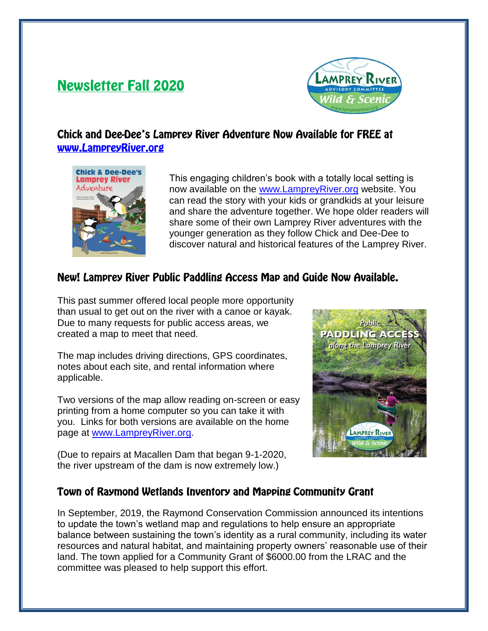# **Newsletter Fall 2020**



## Chick and Dee-Dee's Lamprey River Adventure Now Available for FREE at www.LampreyRiver.org



This engaging children's book with a totally local setting is now available on the [www.LampreyRiver.org](http://www.lampreyriver.org/) website. You can read the story with your kids or grandkids at your leisure and share the adventure together. We hope older readers will share some of their own Lamprey River adventures with the younger generation as they follow Chick and Dee-Dee to discover natural and historical features of the Lamprey River.

## New! Lamprey River Public Paddling Access Map and Guide Now Available.

This past summer offered local people more opportunity than usual to get out on the river with a canoe or kayak. Due to many requests for public access areas, we created a map to meet that need.

The map includes driving directions, GPS coordinates, notes about each site, and rental information where applicable.

Two versions of the map allow reading on-screen or easy printing from a home computer so you can take it with you. Links for both versions are available on the home page at [www.LampreyRiver.org.](http://www.lampreyriver.org/)

(Due to repairs at Macallen Dam that began 9-1-2020, the river upstream of the dam is now extremely low.)



#### Town of Raymond Wetlands Inventory and Mapping Community Grant

In September, 2019, the Raymond Conservation Commission announced its intentions to update the town's wetland map and regulations to help ensure an appropriate balance between sustaining the town's identity as a rural community, including its water resources and natural habitat, and maintaining property owners' reasonable use of their land. The town applied for a Community Grant of \$6000.00 from the LRAC and the committee was pleased to help support this effort.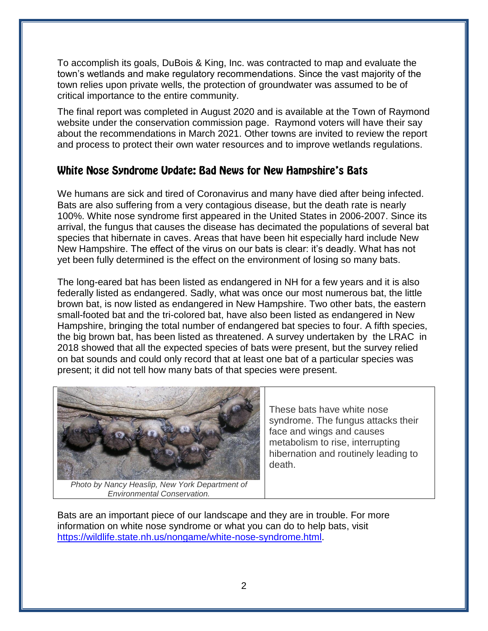To accomplish its goals, DuBois & King, Inc. was contracted to map and evaluate the town's wetlands and make regulatory recommendations. Since the vast majority of the town relies upon private wells, the protection of groundwater was assumed to be of critical importance to the entire community.

The final report was completed in August 2020 and is available at the Town of Raymond website under the conservation commission page. Raymond voters will have their say about the recommendations in March 2021. Other towns are invited to review the report and process to protect their own water resources and to improve wetlands regulations.

## White Nose Syndrome Update: Bad News for New Hampshire's Bats

We humans are sick and tired of Coronavirus and many have died after being infected. Bats are also suffering from a very contagious disease, but the death rate is nearly 100%. White nose syndrome first appeared in the United States in 2006-2007. Since its arrival, the fungus that causes the disease has decimated the populations of several bat species that hibernate in caves. Areas that have been hit especially hard include New New Hampshire. The effect of the virus on our bats is clear: it's deadly. What has not yet been fully determined is the effect on the environment of losing so many bats.

The long-eared bat has been listed as endangered in NH for a few years and it is also federally listed as endangered. Sadly, what was once our most numerous bat, the little brown bat, is now listed as endangered in New Hampshire. Two other bats, the eastern small-footed bat and the tri-colored bat, have also been listed as endangered in New Hampshire, bringing the total number of endangered bat species to four. A fifth species, the big brown bat, has been listed as threatened. A survey undertaken by the LRAC in 2018 showed that all the expected species of bats were present, but the survey relied on bat sounds and could only record that at least one bat of a particular species was present; it did not tell how many bats of that species were present.



These bats have white nose syndrome. The fungus attacks their face and wings and causes metabolism to rise, interrupting hibernation and routinely leading to death.

*Photo by Nancy Heaslip, New York Department of Environmental Conservation.*

Bats are an important piece of our landscape and they are in trouble. For more information on white nose syndrome or what you can do to help bats, visit [https://wildlife.state.nh.us/nongame/white-nose-syndrome.html.](https://wildlife.state.nh.us/nongame/white-nose-syndrome.html)